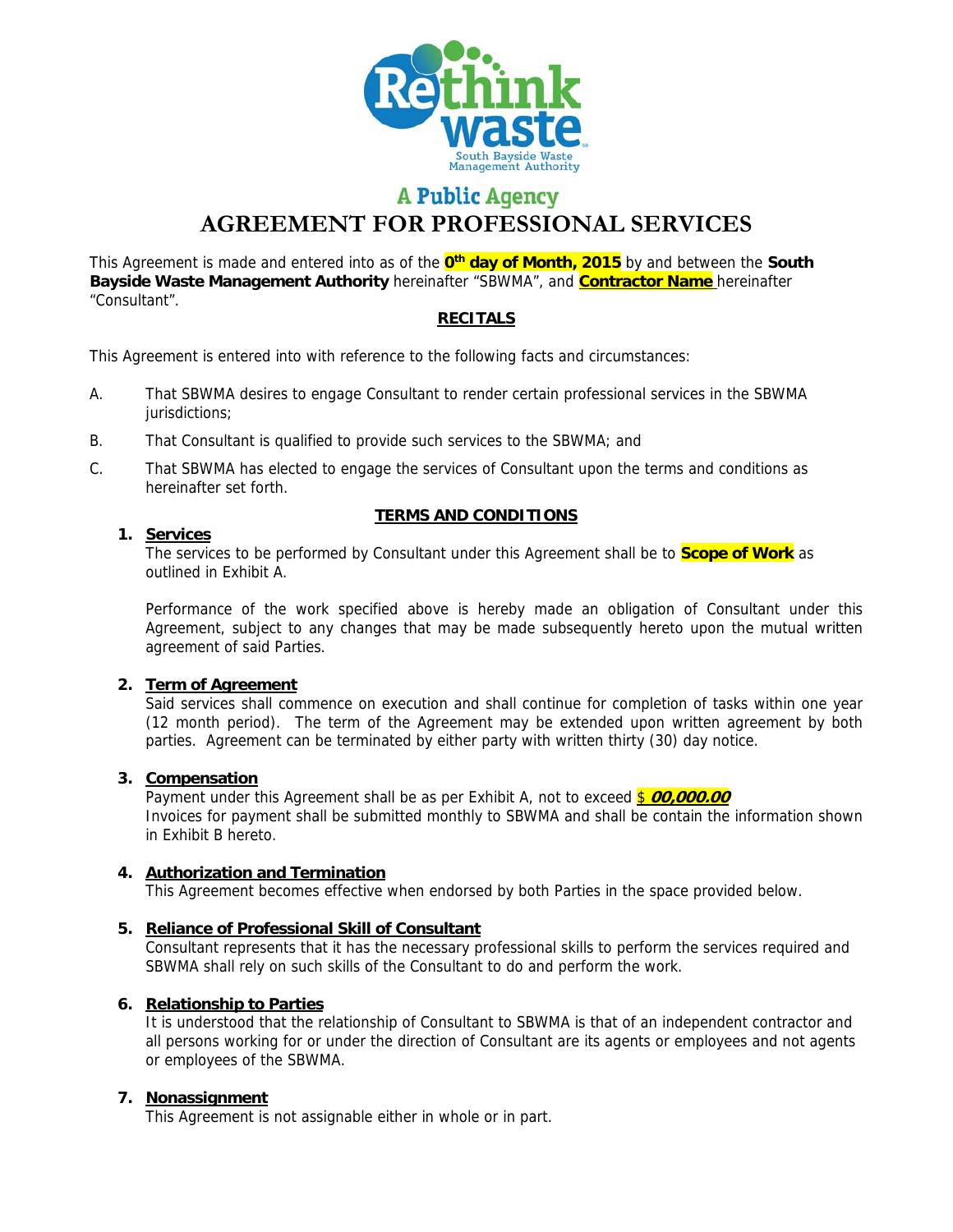

# **A Public Agency**

**AGREEMENT FOR PROFESSIONAL SERVICES** 

This Agreement is made and entered into as of the **0th day of Month, 2015** by and between the **South Bayside Waste Management Authority** hereinafter "SBWMA", and **Contractor Name** hereinafter "Consultant".

## **RECITALS**

This Agreement is entered into with reference to the following facts and circumstances:

- A. That SBWMA desires to engage Consultant to render certain professional services in the SBWMA jurisdictions;
- B. That Consultant is qualified to provide such services to the SBWMA; and
- C. That SBWMA has elected to engage the services of Consultant upon the terms and conditions as hereinafter set forth.

## **TERMS AND CONDITIONS**

## **1. Services**

The services to be performed by Consultant under this Agreement shall be to **Scope of Work** as outlined in Exhibit A.

Performance of the work specified above is hereby made an obligation of Consultant under this Agreement, subject to any changes that may be made subsequently hereto upon the mutual written agreement of said Parties.

## **2. Term of Agreement**

Said services shall commence on execution and shall continue for completion of tasks within one year (12 month period). The term of the Agreement may be extended upon written agreement by both parties. Agreement can be terminated by either party with written thirty (30) day notice.

## **3. Compensation**

Payment under this Agreement shall be as per Exhibit A, not to exceed \$ 00,000.00 Invoices for payment shall be submitted monthly to SBWMA and shall be contain the information shown in Exhibit B hereto.

## **4. Authorization and Termination**

This Agreement becomes effective when endorsed by both Parties in the space provided below.

## **5. Reliance of Professional Skill of Consultant**

Consultant represents that it has the necessary professional skills to perform the services required and SBWMA shall rely on such skills of the Consultant to do and perform the work.

## **6. Relationship to Parties**

It is understood that the relationship of Consultant to SBWMA is that of an independent contractor and all persons working for or under the direction of Consultant are its agents or employees and not agents or employees of the SBWMA.

## **7. Nonassignment**

This Agreement is not assignable either in whole or in part.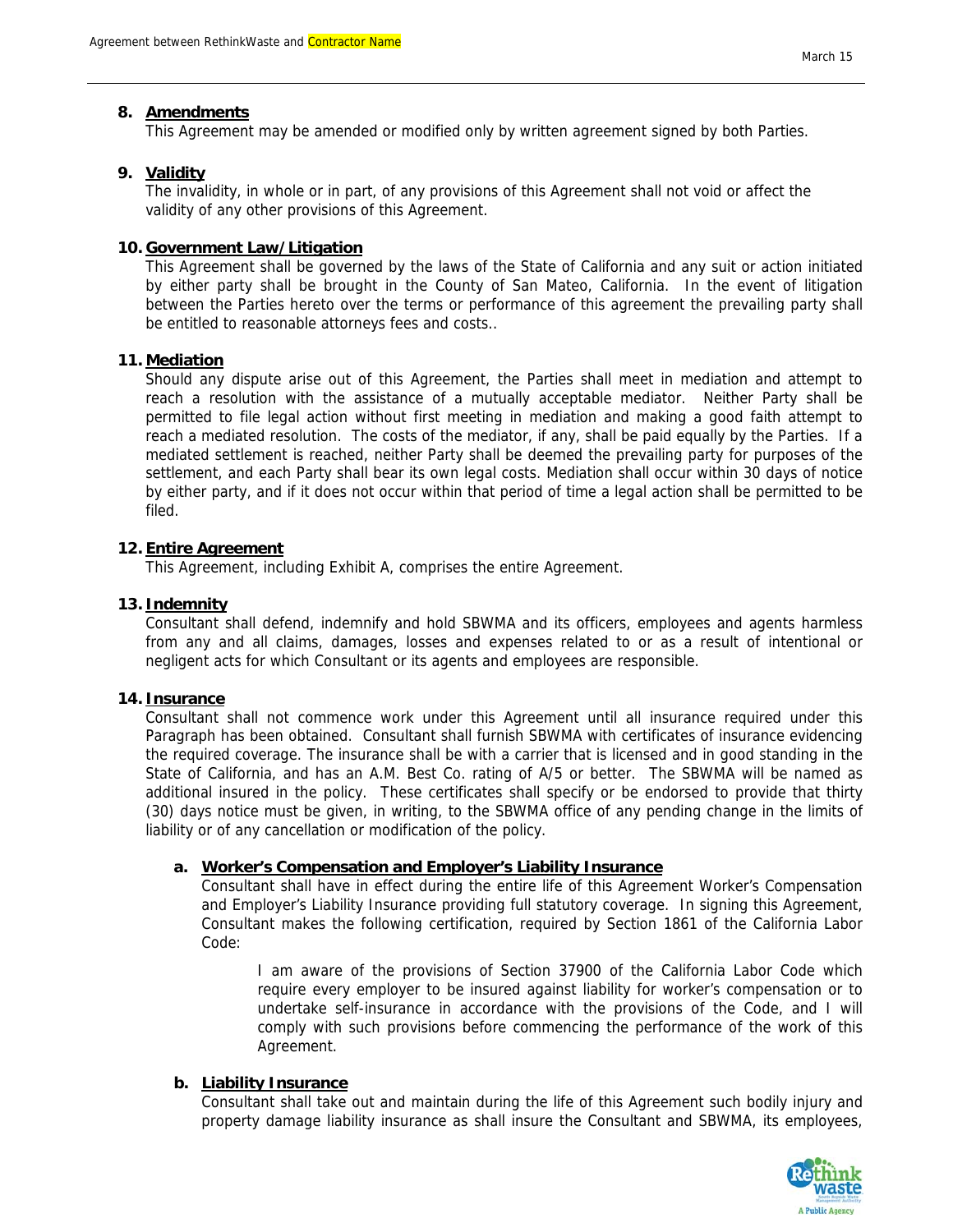#### **8. Amendments**

This Agreement may be amended or modified only by written agreement signed by both Parties.

#### **9. Validity**

The invalidity, in whole or in part, of any provisions of this Agreement shall not void or affect the validity of any other provisions of this Agreement.

#### **10. Government Law/Litigation**

This Agreement shall be governed by the laws of the State of California and any suit or action initiated by either party shall be brought in the County of San Mateo, California. In the event of litigation between the Parties hereto over the terms or performance of this agreement the prevailing party shall be entitled to reasonable attorneys fees and costs..

#### **11. Mediation**

Should any dispute arise out of this Agreement, the Parties shall meet in mediation and attempt to reach a resolution with the assistance of a mutually acceptable mediator. Neither Party shall be permitted to file legal action without first meeting in mediation and making a good faith attempt to reach a mediated resolution. The costs of the mediator, if any, shall be paid equally by the Parties. If a mediated settlement is reached, neither Party shall be deemed the prevailing party for purposes of the settlement, and each Party shall bear its own legal costs. Mediation shall occur within 30 days of notice by either party, and if it does not occur within that period of time a legal action shall be permitted to be filed.

#### **12. Entire Agreement**

This Agreement, including Exhibit A, comprises the entire Agreement.

#### **13. Indemnity**

Consultant shall defend, indemnify and hold SBWMA and its officers, employees and agents harmless from any and all claims, damages, losses and expenses related to or as a result of intentional or negligent acts for which Consultant or its agents and employees are responsible.

#### **14. Insurance**

Consultant shall not commence work under this Agreement until all insurance required under this Paragraph has been obtained. Consultant shall furnish SBWMA with certificates of insurance evidencing the required coverage. The insurance shall be with a carrier that is licensed and in good standing in the State of California, and has an A.M. Best Co. rating of A/5 or better. The SBWMA will be named as additional insured in the policy. These certificates shall specify or be endorsed to provide that thirty (30) days notice must be given, in writing, to the SBWMA office of any pending change in the limits of liability or of any cancellation or modification of the policy.

#### **a. Worker's Compensation and Employer's Liability Insurance**

Consultant shall have in effect during the entire life of this Agreement Worker's Compensation and Employer's Liability Insurance providing full statutory coverage. In signing this Agreement, Consultant makes the following certification, required by Section 1861 of the California Labor Code:

I am aware of the provisions of Section 37900 of the California Labor Code which require every employer to be insured against liability for worker's compensation or to undertake self-insurance in accordance with the provisions of the Code, and I will comply with such provisions before commencing the performance of the work of this Agreement.

#### **b. Liability Insurance**

Consultant shall take out and maintain during the life of this Agreement such bodily injury and property damage liability insurance as shall insure the Consultant and SBWMA, its employees,

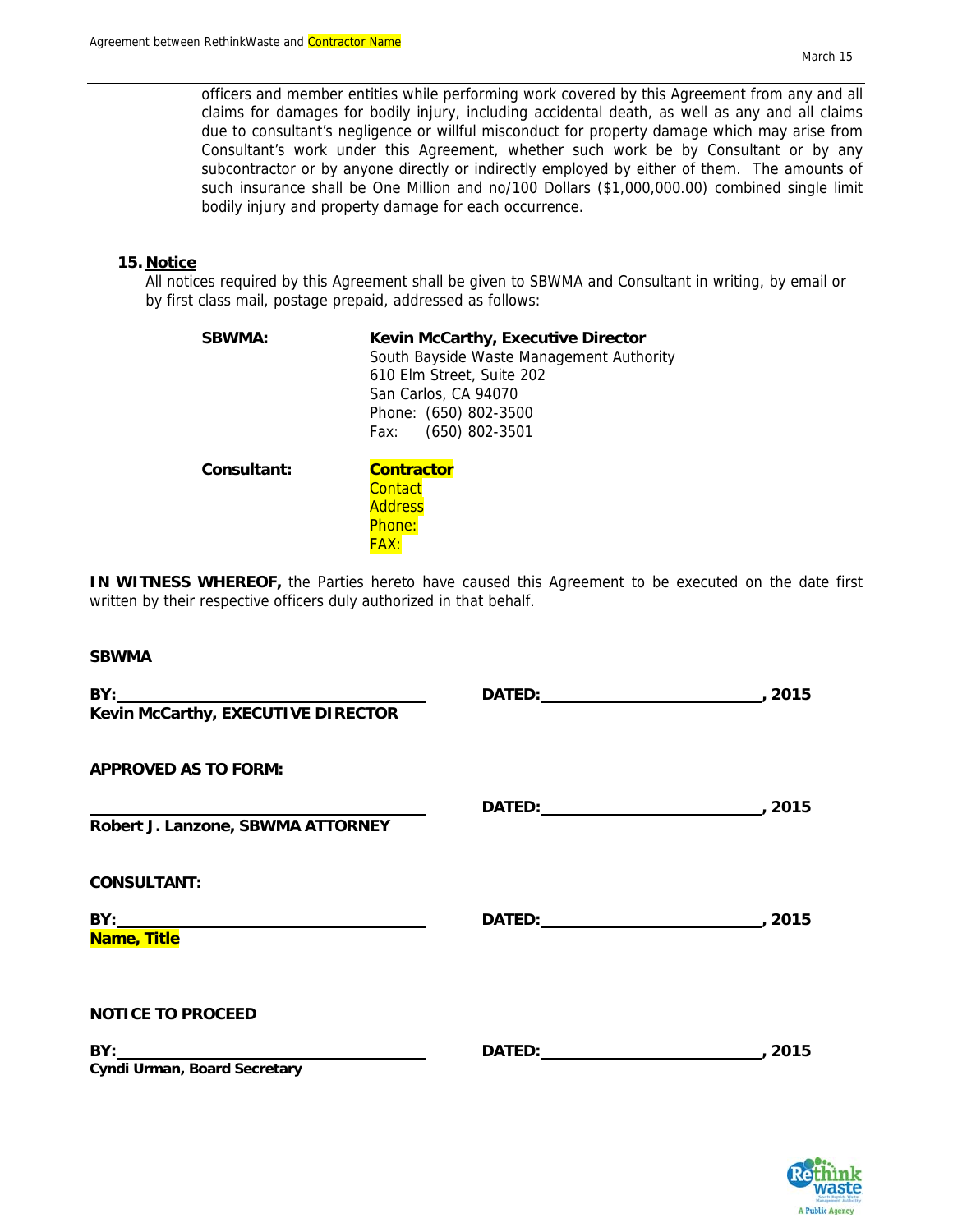officers and member entities while performing work covered by this Agreement from any and all claims for damages for bodily injury, including accidental death, as well as any and all claims due to consultant's negligence or willful misconduct for property damage which may arise from Consultant's work under this Agreement, whether such work be by Consultant or by any subcontractor or by anyone directly or indirectly employed by either of them. The amounts of such insurance shall be One Million and no/100 Dollars (\$1,000,000.00) combined single limit bodily injury and property damage for each occurrence.

#### **15. Notice**

All notices required by this Agreement shall be given to SBWMA and Consultant in writing, by email or by first class mail, postage prepaid, addressed as follows:

| <b>SBWMA:</b> | <b>Kevin McCarthy, Executive Director</b><br>South Bayside Waste Management Authority<br>610 Elm Street, Suite 202<br>San Carlos, CA 94070<br>Phone: (650) 802-3500<br>$(650)$ 802-3501<br>Fax: |
|---------------|-------------------------------------------------------------------------------------------------------------------------------------------------------------------------------------------------|
| Consultant:   | <b>Contractor</b><br>Contact<br><b>Address</b><br>Phone:                                                                                                                                        |

FAX:

**IN WITNESS WHEREOF,** the Parties hereto have caused this Agreement to be executed on the date first written by their respective officers duly authorized in that behalf.

#### **SBWMA**

| DATED: 2015 |  |
|-------------|--|
|             |  |
| DATED: 2015 |  |
|             |  |